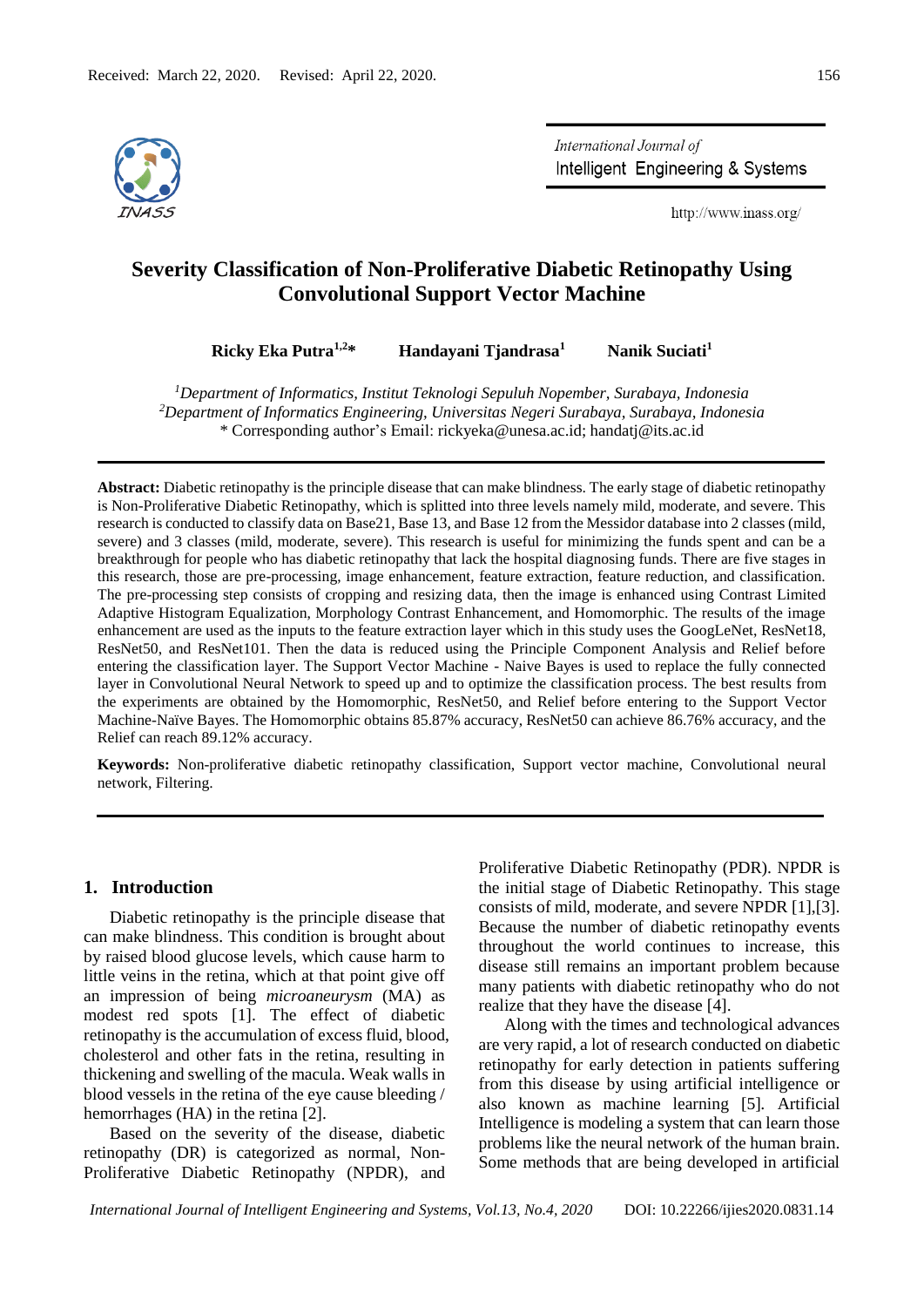

International Journal of Intelligent Engineering & Systems

http://www.inass.org/

# **Severity Classification of Non-Proliferative Diabetic Retinopathy Using Convolutional Support Vector Machine**

**Ricky Eka Putra1,2\* Handayani Tjandrasa<sup>1</sup> Nanik Suciati<sup>1</sup>**

*<sup>1</sup>Department of Informatics, Institut Teknologi Sepuluh Nopember, Surabaya, Indonesia <sup>2</sup>Department of Informatics Engineering, Universitas Negeri Surabaya, Surabaya, Indonesia* \* Corresponding author's Email: [rickyeka@unesa.ac.id;](mailto:rickyeka@unesa.ac.id) [handatj@its.ac.id](mailto:handatj@its.ac.id)

**Abstract:** Diabetic retinopathy is the principle disease that can make blindness. The early stage of diabetic retinopathy is Non-Proliferative Diabetic Retinopathy, which is splitted into three levels namely mild, moderate, and severe. This research is conducted to classify data on Base21, Base 13, and Base 12 from the Messidor database into 2 classes (mild, severe) and 3 classes (mild, moderate, severe). This research is useful for minimizing the funds spent and can be a breakthrough for people who has diabetic retinopathy that lack the hospital diagnosing funds. There are five stages in this research, those are pre-processing, image enhancement, feature extraction, feature reduction, and classification. The pre-processing step consists of cropping and resizing data, then the image is enhanced using Contrast Limited Adaptive Histogram Equalization, Morphology Contrast Enhancement, and Homomorphic. The results of the image enhancement are used as the inputs to the feature extraction layer which in this study uses the GoogLeNet, ResNet18, ResNet50, and ResNet101. Then the data is reduced using the Principle Component Analysis and Relief before entering the classification layer. The Support Vector Machine - Naive Bayes is used to replace the fully connected layer in Convolutional Neural Network to speed up and to optimize the classification process. The best results from the experiments are obtained by the Homomorphic, ResNet50, and Relief before entering to the Support Vector Machine-Naïve Bayes. The Homomorphic obtains 85.87% accuracy, ResNet50 can achieve 86.76% accuracy, and the Relief can reach 89.12% accuracy.

**Keywords:** Non-proliferative diabetic retinopathy classification, Support vector machine, Convolutional neural network, Filtering.

## **1. Introduction**

Diabetic retinopathy is the principle disease that can make blindness. This condition is brought about by raised blood glucose levels, which cause harm to little veins in the retina, which at that point give off an impression of being *microaneurysm* (MA) as modest red spots [1]. The effect of diabetic retinopathy is the accumulation of excess fluid, blood, cholesterol and other fats in the retina, resulting in thickening and swelling of the macula. Weak walls in blood vessels in the retina of the eye cause bleeding / hemorrhages (HA) in the retina [2].

Based on the severity of the disease, diabetic retinopathy (DR) is categorized as normal, Non-Proliferative Diabetic Retinopathy (NPDR), and Proliferative Diabetic Retinopathy (PDR). NPDR is the initial stage of Diabetic Retinopathy. This stage consists of mild, moderate, and severe NPDR [1],[3]. Because the number of diabetic retinopathy events throughout the world continues to increase, this disease still remains an important problem because many patients with diabetic retinopathy who do not realize that they have the disease [4].

Along with the times and technological advances are very rapid, a lot of research conducted on diabetic retinopathy for early detection in patients suffering from this disease by using artificial intelligence or also known as machine learning [5]*.* Artificial Intelligence is modeling a system that can learn those problems like the neural network of the human brain. Some methods that are being developed in artificial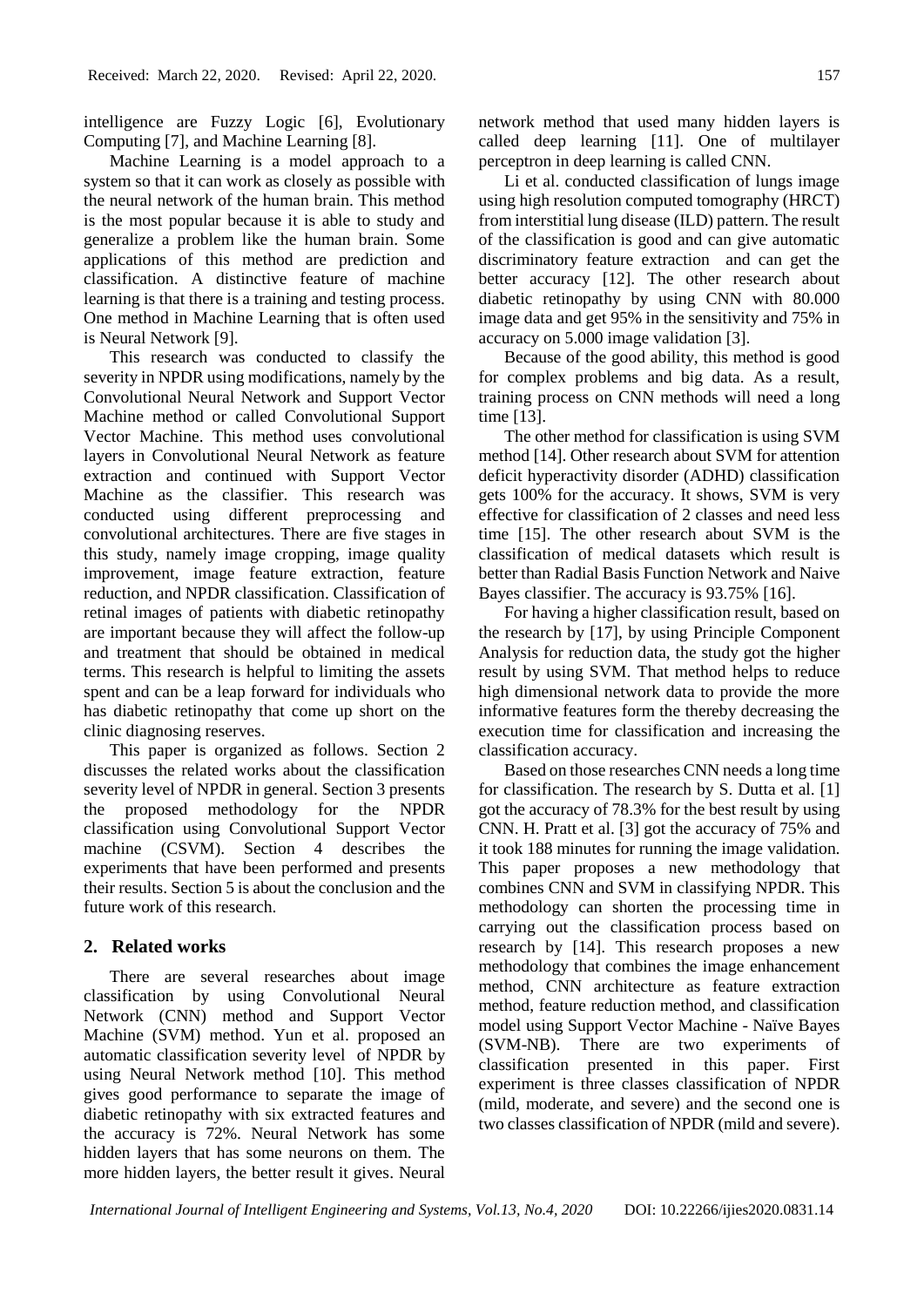intelligence are Fuzzy Logic [6], Evolutionary Computing [7], and Machine Learning [8].

Machine Learning is a model approach to a system so that it can work as closely as possible with the neural network of the human brain. This method is the most popular because it is able to study and generalize a problem like the human brain. Some applications of this method are prediction and classification. A distinctive feature of machine learning is that there is a training and testing process. One method in Machine Learning that is often used is Neural Network [9].

This research was conducted to classify the severity in NPDR using modifications, namely by the Convolutional Neural Network and Support Vector Machine method or called Convolutional Support Vector Machine. This method uses convolutional layers in Convolutional Neural Network as feature extraction and continued with Support Vector Machine as the classifier. This research was conducted using different preprocessing and convolutional architectures. There are five stages in this study, namely image cropping, image quality improvement, image feature extraction, feature reduction, and NPDR classification. Classification of retinal images of patients with diabetic retinopathy are important because they will affect the follow-up and treatment that should be obtained in medical terms. This research is helpful to limiting the assets spent and can be a leap forward for individuals who has diabetic retinopathy that come up short on the clinic diagnosing reserves.

This paper is organized as follows. Section 2 discusses the related works about the classification severity level of NPDR in general. Section 3 presents the proposed methodology for the NPDR classification using Convolutional Support Vector machine (CSVM). Section 4 describes the experiments that have been performed and presents their results. Section 5 is about the conclusion and the future work of this research.

# **2. Related works**

There are several researches about image classification by using Convolutional Neural Network (CNN) method and Support Vector Machine (SVM) method. Yun et al. proposed an automatic classification severity level of NPDR by using Neural Network method [10]. This method gives good performance to separate the image of diabetic retinopathy with six extracted features and the accuracy is 72%. Neural Network has some hidden layers that has some neurons on them. The more hidden layers, the better result it gives. Neural

network method that used many hidden layers is called deep learning [11]. One of multilayer perceptron in deep learning is called CNN.

Li et al. conducted classification of lungs image using high resolution computed tomography (HRCT) from interstitial lung disease (ILD) pattern. The result of the classification is good and can give automatic discriminatory feature extraction and can get the better accuracy [12]. The other research about diabetic retinopathy by using CNN with 80.000 image data and get 95% in the sensitivity and 75% in accuracy on 5.000 image validation [3].

Because of the good ability, this method is good for complex problems and big data. As a result, training process on CNN methods will need a long time [13].

The other method for classification is using SVM method [14]. Other research about SVM for attention deficit hyperactivity disorder (ADHD) classification gets 100% for the accuracy. It shows, SVM is very effective for classification of 2 classes and need less time [15]. The other research about SVM is the classification of medical datasets which result is better than Radial Basis Function Network and Naive Bayes classifier. The accuracy is 93.75% [16].

For having a higher classification result, based on the research by [17], by using Principle Component Analysis for reduction data, the study got the higher result by using SVM. That method helps to reduce high dimensional network data to provide the more informative features form the thereby decreasing the execution time for classification and increasing the classification accuracy.

Based on those researches CNN needs a long time for classification. The research by S. Dutta et al. [1] got the accuracy of 78.3% for the best result by using CNN. H. Pratt et al. [3] got the accuracy of 75% and it took 188 minutes for running the image validation. This paper proposes a new methodology that combines CNN and SVM in classifying NPDR. This methodology can shorten the processing time in carrying out the classification process based on research by [14]. This research proposes a new methodology that combines the image enhancement method, CNN architecture as feature extraction method, feature reduction method, and classification model using Support Vector Machine - Naïve Bayes (SVM-NB). There are two experiments of classification presented in this paper. First experiment is three classes classification of NPDR (mild, moderate, and severe) and the second one is two classes classification of NPDR (mild and severe).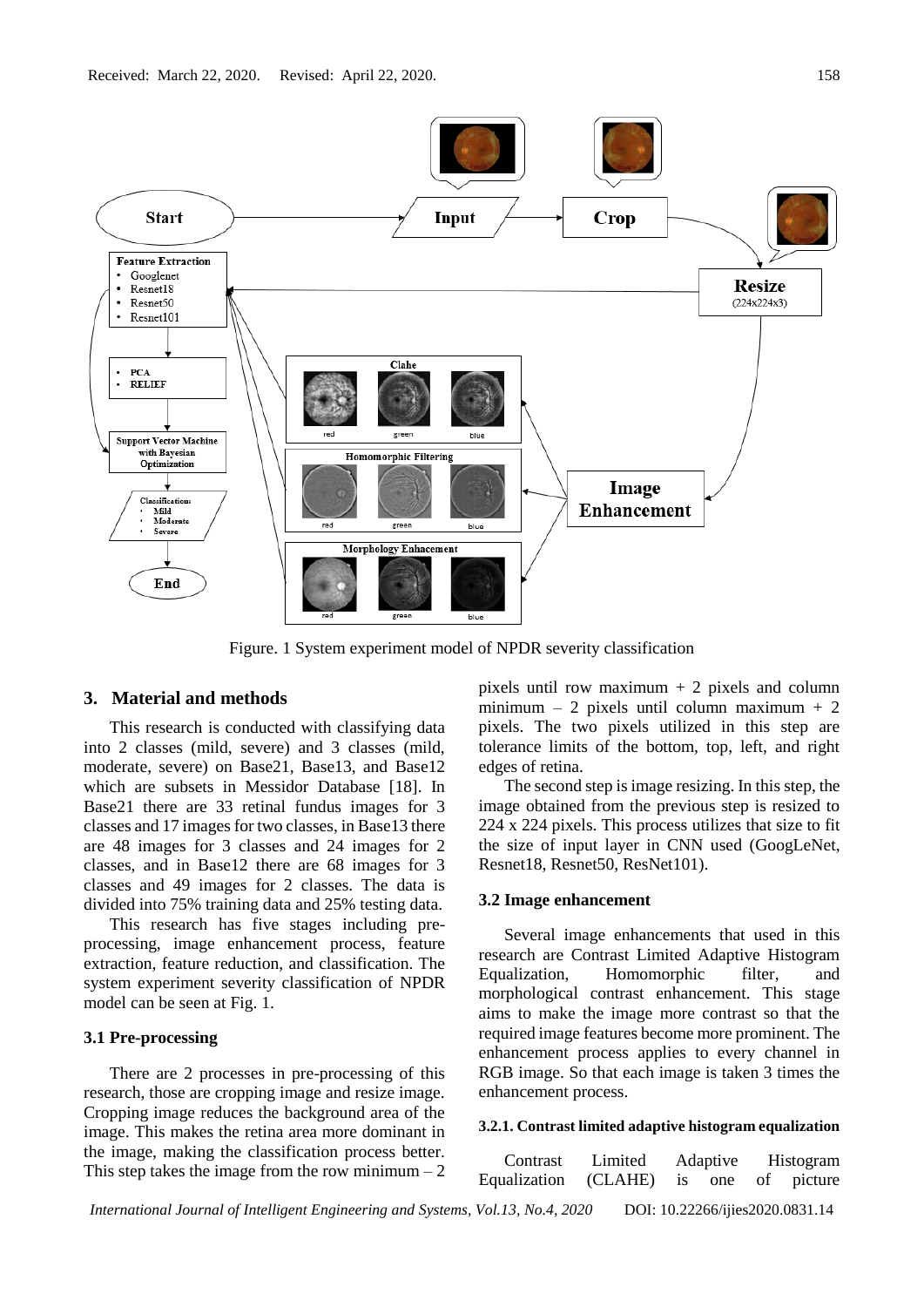

Figure. 1 System experiment model of NPDR severity classification

## **3. Material and methods**

This research is conducted with classifying data into 2 classes (mild, severe) and 3 classes (mild, moderate, severe) on Base21, Base13, and Base12 which are subsets in Messidor Database [18]. In Base21 there are 33 retinal fundus images for 3 classes and 17 images for two classes, in Base13 there are 48 images for 3 classes and 24 images for 2 classes, and in Base12 there are 68 images for 3 classes and 49 images for 2 classes. The data is divided into 75% training data and 25% testing data.

This research has five stages including preprocessing, image enhancement process, feature extraction, feature reduction, and classification. The system experiment severity classification of NPDR model can be seen at Fig. 1.

#### **3.1 Pre-processing**

There are 2 processes in pre-processing of this research, those are cropping image and resize image. Cropping image reduces the background area of the image. This makes the retina area more dominant in the image, making the classification process better. This step takes the image from the row minimum  $-2$  pixels until row maximum  $+ 2$  pixels and column minimum – 2 pixels until column maximum + 2 pixels. The two pixels utilized in this step are tolerance limits of the bottom, top, left, and right edges of retina.

The second step is image resizing. In this step, the image obtained from the previous step is resized to 224 x 224 pixels. This process utilizes that size to fit the size of input layer in CNN used (GoogLeNet, Resnet18, Resnet50, ResNet101).

## **3.2 Image enhancement**

Several image enhancements that used in this research are Contrast Limited Adaptive Histogram Equalization, Homomorphic filter, and morphological contrast enhancement. This stage aims to make the image more contrast so that the required image features become more prominent. The enhancement process applies to every channel in RGB image. So that each image is taken 3 times the enhancement process.

## **3.2.1. Contrast limited adaptive histogram equalization**

*International Journal of Intelligent Engineering and Systems, Vol.13, No.4, 2020* DOI: 10.22266/ijies2020.0831.14 Contrast Limited Adaptive Histogram Equalization (CLAHE) is one of picture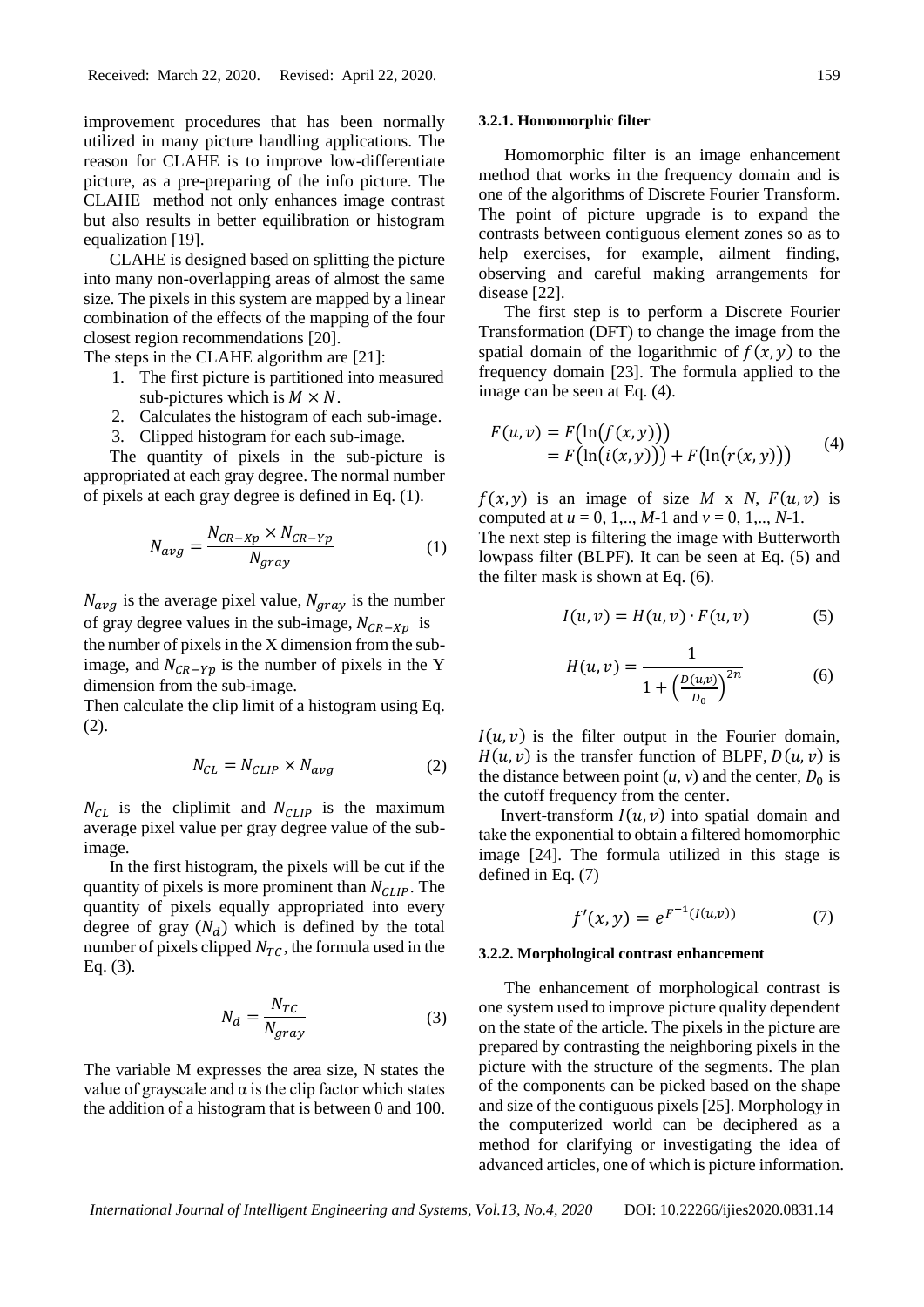improvement procedures that has been normally utilized in many picture handling applications. The reason for CLAHE is to improve low-differentiate picture, as a pre-preparing of the info picture. The CLAHE method not only enhances image contrast but also results in better equilibration or histogram equalization [19].

CLAHE is designed based on splitting the picture into many non-overlapping areas of almost the same size. The pixels in this system are mapped by a linear combination of the effects of the mapping of the four closest region recommendations [20].

The steps in the CLAHE algorithm are [21]:

- 1. The first picture is partitioned into measured sub-pictures which is  $M \times N$ .
- 2. Calculates the histogram of each sub-image.
- 3. Clipped histogram for each sub-image.

The quantity of pixels in the sub-picture is appropriated at each gray degree. The normal number of pixels at each gray degree is defined in Eq. (1).

$$
N_{avg} = \frac{N_{CR-XP} \times N_{CR-YP}}{N_{gray}} \tag{1}
$$

 $N_{avg}$  is the average pixel value,  $N_{gray}$  is the number of gray degree values in the sub-image,  $N_{CR- X p}$  is the number of pixels in the X dimension from the subimage, and  $N_{CR-Yp}$  is the number of pixels in the Y dimension from the sub-image.

Then calculate the clip limit of a histogram using Eq. (2).

$$
N_{CL} = N_{CLIP} \times N_{avg}
$$
 (2)

 $N_{CL}$  is the cliplimit and  $N_{CLIP}$  is the maximum average pixel value per gray degree value of the subimage.

In the first histogram, the pixels will be cut if the quantity of pixels is more prominent than  $N_{CLIP}$ . The quantity of pixels equally appropriated into every degree of gray  $(N_d)$  which is defined by the total number of pixels clipped  $N_{TC}$ , the formula used in the Eq. (3).

$$
N_d = \frac{N_{TC}}{N_{gray}}\tag{3}
$$

The variable M expresses the area size, N states the value of grayscale and  $\alpha$  is the clip factor which states the addition of a histogram that is between 0 and 100.

#### **3.2.1. Homomorphic filter**

Homomorphic filter is an image enhancement method that works in the frequency domain and is one of the algorithms of Discrete Fourier Transform. The point of picture upgrade is to expand the contrasts between contiguous element zones so as to help exercises, for example, ailment finding, observing and careful making arrangements for disease [22].

The first step is to perform a Discrete Fourier Transformation (DFT) to change the image from the spatial domain of the logarithmic of  $f(x, y)$  to the frequency domain [23]. The formula applied to the image can be seen at Eq. (4).

$$
F(u, v) = F(\ln(f(x, y)))
$$
  
= F(\ln(i(x, y))) + F(\ln(r(x, y))) (4)

 $f(x, y)$  is an image of size *M* x *N*,  $F(u, v)$  is computed at  $u = 0, 1, \ldots, M-1$  and  $v = 0, 1, \ldots, N-1$ .

The next step is filtering the image with Butterworth lowpass filter (BLPF)*.* It can be seen at Eq. (5) and the filter mask is shown at Eq. (6).

$$
I(u, v) = H(u, v) \cdot F(u, v) \tag{5}
$$

$$
H(u, v) = \frac{1}{1 + \left(\frac{D(u, v)}{D_0}\right)^{2n}}
$$
(6)

 $I(u, v)$  is the filter output in the Fourier domain,  $H(u, v)$  is the transfer function of BLPF,  $D(u, v)$  is the distance between point  $(u, v)$  and the center,  $D_0$  is the cutoff frequency from the center.

Invert-transform  $I(u, v)$  into spatial domain and take the exponential to obtain a filtered homomorphic image [24]. The formula utilized in this stage is defined in Eq. (7)

$$
f'(x, y) = e^{F^{-1}(I(u, v))}
$$
 (7)

#### **3.2.2. Morphological contrast enhancement**

The enhancement of morphological contrast is one system used to improve picture quality dependent on the state of the article. The pixels in the picture are prepared by contrasting the neighboring pixels in the picture with the structure of the segments. The plan of the components can be picked based on the shape and size of the contiguous pixels [25]. Morphology in the computerized world can be deciphered as a method for clarifying or investigating the idea of advanced articles, one of which is picture information.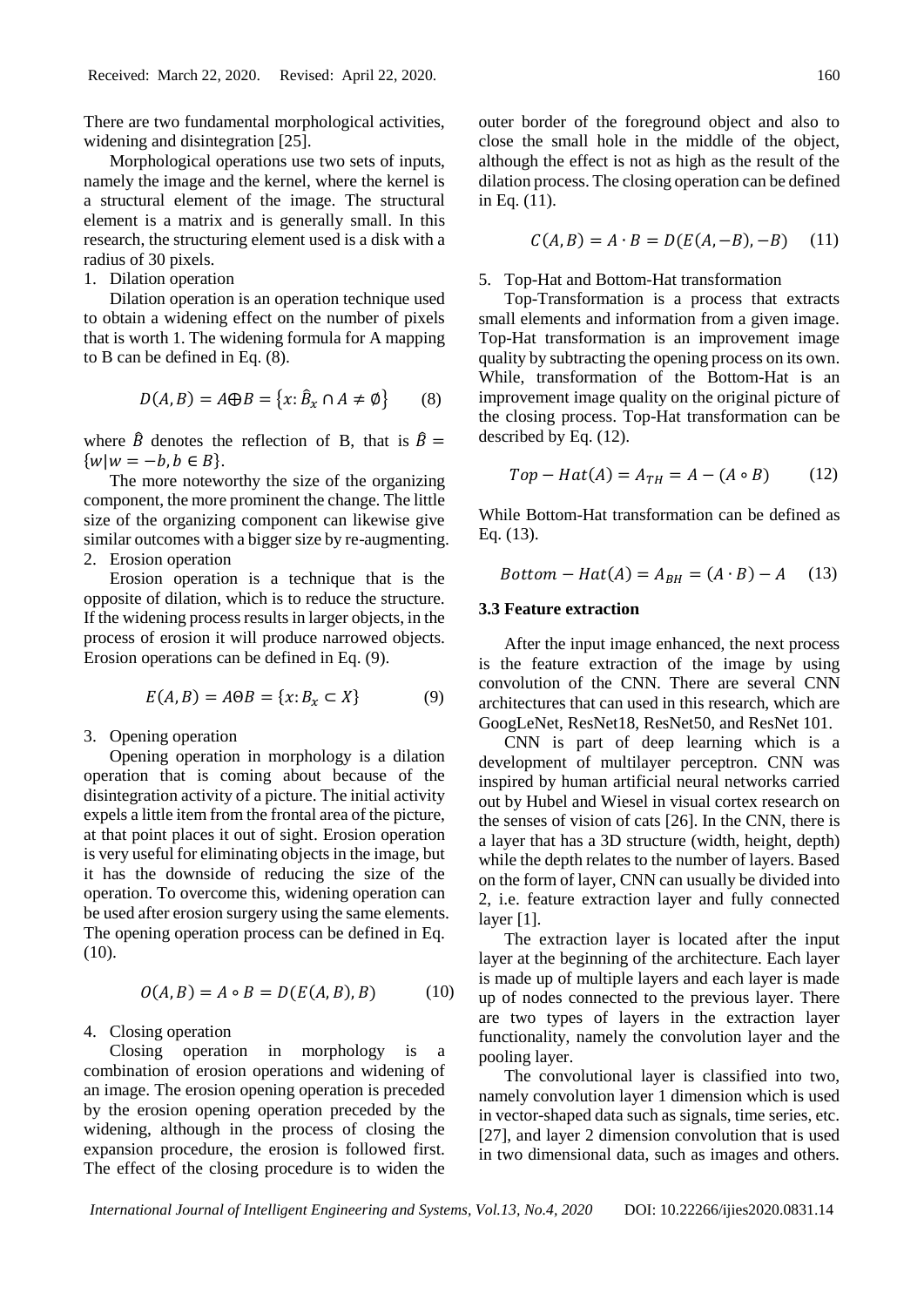There are two fundamental morphological activities, widening and disintegration [25].

Morphological operations use two sets of inputs, namely the image and the kernel, where the kernel is a structural element of the image. The structural element is a matrix and is generally small. In this research, the structuring element used is a disk with a radius of 30 pixels.

1. Dilation operation

Dilation operation is an operation technique used to obtain a widening effect on the number of pixels that is worth 1. The widening formula for A mapping to B can be defined in Eq. (8).

$$
D(A, B) = A \oplus B = \{x : \hat{B}_x \cap A \neq \emptyset\}
$$
 (8)

where  $\hat{B}$  denotes the reflection of B, that is  $\hat{B}$  =  $\{ w | w = -b, b \in B \}.$ 

The more noteworthy the size of the organizing component, the more prominent the change. The little size of the organizing component can likewise give similar outcomes with a bigger size by re-augmenting.

2. Erosion operation

Erosion operation is a technique that is the opposite of dilation, which is to reduce the structure. If the widening process results in larger objects, in the process of erosion it will produce narrowed objects. Erosion operations can be defined in Eq. (9).

$$
E(A, B) = A \Theta B = \{x : B_x \subset X\}
$$
 (9)

3. Opening operation

Opening operation in morphology is a dilation operation that is coming about because of the disintegration activity of a picture. The initial activity expels a little item from the frontal area of the picture, at that point places it out of sight. Erosion operation is very useful for eliminating objects in the image, but it has the downside of reducing the size of the operation. To overcome this, widening operation can be used after erosion surgery using the same elements. The opening operation process can be defined in Eq. (10).

$$
O(A, B) = A \circ B = D(E(A, B), B) \tag{10}
$$

4. Closing operation

Closing operation in morphology is a combination of erosion operations and widening of an image. The erosion opening operation is preceded by the erosion opening operation preceded by the widening, although in the process of closing the expansion procedure, the erosion is followed first. The effect of the closing procedure is to widen the outer border of the foreground object and also to close the small hole in the middle of the object, although the effect is not as high as the result of the dilation process. The closing operation can be defined in Eq. (11).

$$
C(A, B) = A \cdot B = D(E(A, -B), -B) \quad (11)
$$

5. Top-Hat and Bottom-Hat transformation

Top-Transformation is a process that extracts small elements and information from a given image. Top-Hat transformation is an improvement image quality by subtracting the opening process on its own. While, transformation of the Bottom-Hat is an improvement image quality on the original picture of the closing process. Top-Hat transformation can be described by Eq. (12).

$$
Top-Hat(A) = A_{TH} = A - (A \circ B) \tag{12}
$$

While Bottom-Hat transformation can be defined as Eq. (13).

$$
Bottom-Hat(A) = A_{BH} = (A \cdot B) - A \quad (13)
$$

#### **3.3 Feature extraction**

After the input image enhanced, the next process is the feature extraction of the image by using convolution of the CNN. There are several CNN architectures that can used in this research, which are GoogLeNet, ResNet18, ResNet50, and ResNet 101.

CNN is part of deep learning which is a development of multilayer perceptron. CNN was inspired by human artificial neural networks carried out by Hubel and Wiesel in visual cortex research on the senses of vision of cats [26]. In the CNN, there is a layer that has a 3D structure (width, height, depth) while the depth relates to the number of layers. Based on the form of layer, CNN can usually be divided into 2, i.e. feature extraction layer and fully connected layer [1].

The extraction layer is located after the input layer at the beginning of the architecture. Each layer is made up of multiple layers and each layer is made up of nodes connected to the previous layer. There are two types of layers in the extraction layer functionality, namely the convolution layer and the pooling layer.

The convolutional layer is classified into two, namely convolution layer 1 dimension which is used in vector-shaped data such as signals, time series, etc. [27], and layer 2 dimension convolution that is used in two dimensional data, such as images and others.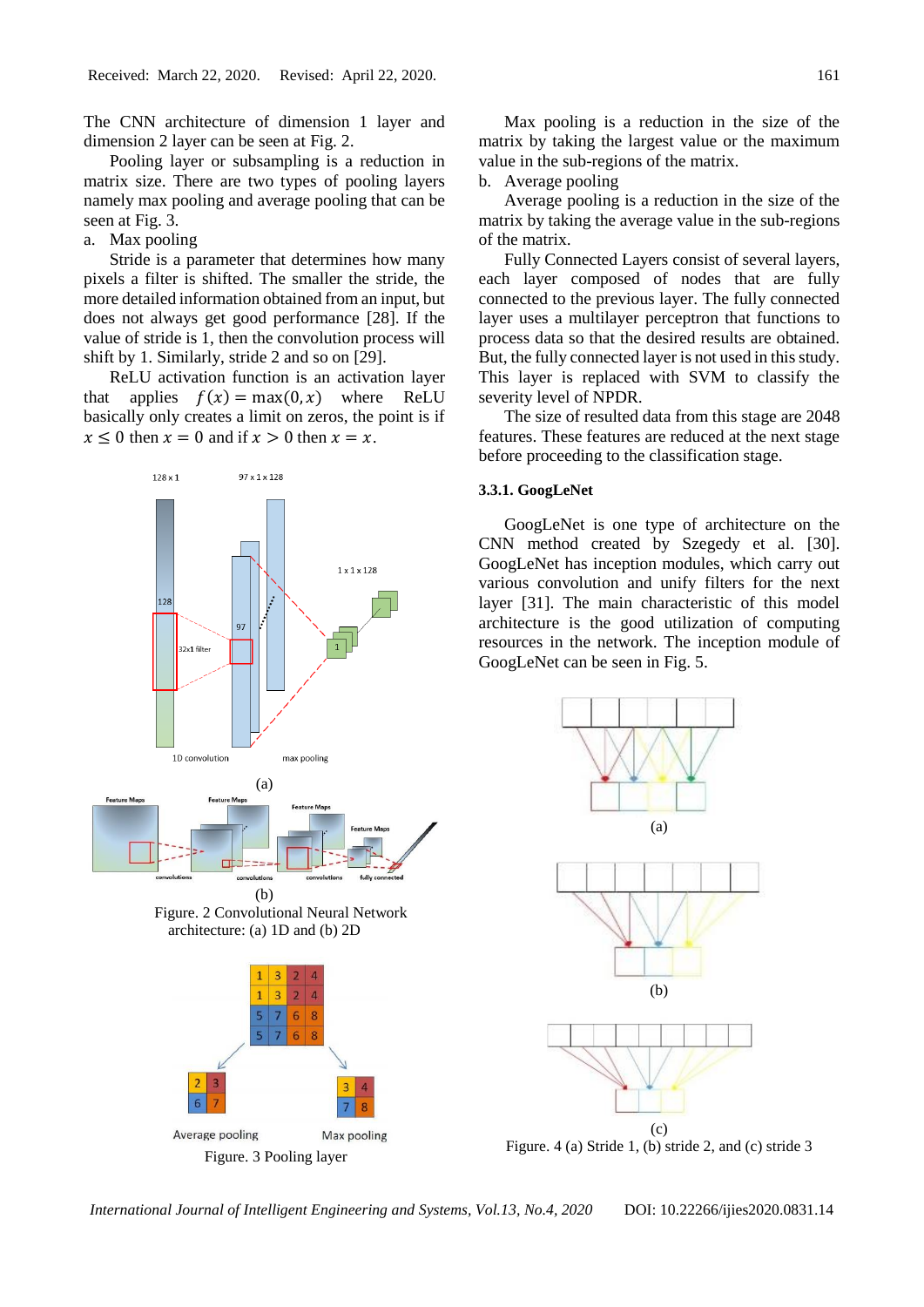The CNN architecture of dimension 1 layer and dimension 2 layer can be seen at Fig. 2.

Pooling layer or subsampling is a reduction in matrix size. There are two types of pooling layers namely max pooling and average pooling that can be seen at Fig. 3.

a. Max pooling

Stride is a parameter that determines how many pixels a filter is shifted. The smaller the stride, the more detailed information obtained from an input, but does not always get good performance [28]. If the value of stride is 1, then the convolution process will shift by 1. Similarly, stride 2 and so on [29].

ReLU activation function is an activation layer that applies  $f(x) = max(0, x)$  where ReLU basically only creates a limit on zeros, the point is if  $x \leq 0$  then  $x = 0$  and if  $x > 0$  then  $x = x$ .





Max pooling is a reduction in the size of the matrix by taking the largest value or the maximum value in the sub-regions of the matrix.

b. Average pooling

Average pooling is a reduction in the size of the matrix by taking the average value in the sub-regions of the matrix.

Fully Connected Layers consist of several layers, each layer composed of nodes that are fully connected to the previous layer. The fully connected layer uses a multilayer perceptron that functions to process data so that the desired results are obtained. But, the fully connected layer is not used in this study. This layer is replaced with SVM to classify the severity level of NPDR.

The size of resulted data from this stage are 2048 features. These features are reduced at the next stage before proceeding to the classification stage.

#### **3.3.1. GoogLeNet**

GoogLeNet is one type of architecture on the CNN method created by Szegedy et al. [30]. GoogLeNet has inception modules, which carry out various convolution and unify filters for the next layer [31]. The main characteristic of this model architecture is the good utilization of computing resources in the network. The inception module of GoogLeNet can be seen in Fig. 5.



Figure. 4 (a) Stride 1, (b) stride 2, and (c) stride 3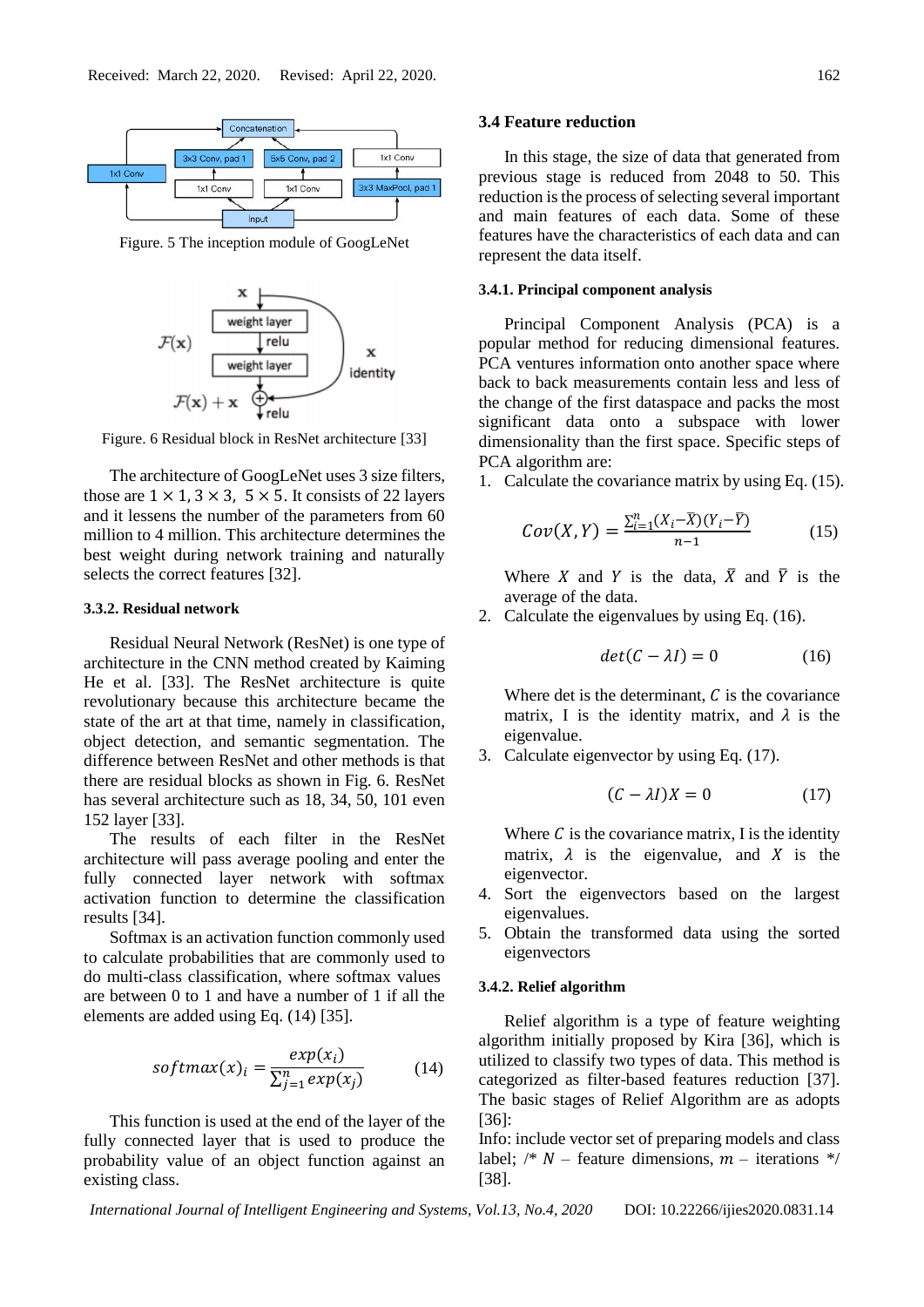

Figure. 5 The inception module of GoogLeNet



Figure. 6 Residual block in ResNet architecture [33]

The architecture of GoogLeNet uses 3 size filters, those are  $1 \times 1$ ,  $3 \times 3$ ,  $5 \times 5$ . It consists of 22 layers and it lessens the number of the parameters from 60 million to 4 million. This architecture determines the best weight during network training and naturally selects the correct features [32].

#### **3.3.2. Residual network**

Residual Neural Network (ResNet) is one type of architecture in the CNN method created by Kaiming He et al. [33]. The ResNet architecture is quite revolutionary because this architecture became the state of the art at that time, namely in classification, object detection, and semantic segmentation. The difference between ResNet and other methods is that there are residual blocks as shown in Fig. 6. ResNet has several architecture such as 18, 34, 50, 101 even 152 layer [33].

The results of each filter in the ResNet architecture will pass average pooling and enter the fully connected layer network with softmax activation function to determine the classification results [34].

Softmax is an activation function commonly used to calculate probabilities that are commonly used to do multi-class classification, where softmax values are between 0 to 1 and have a number of 1 if all the elements are added using Eq. (14) [35].

$$
softmax(x)_i = \frac{exp(x_i)}{\sum_{j=1}^{n} exp(x_j)}
$$
(14)

This function is used at the end of the layer of the fully connected layer that is used to produce the probability value of an object function against an existing class.

#### **3.4 Feature reduction**

In this stage, the size of data that generated from previous stage is reduced from 2048 to 50. This reduction is the process of selecting several important and main features of each data. Some of these features have the characteristics of each data and can represent the data itself.

#### **3.4.1. Principal component analysis**

Principal Component Analysis (PCA) is a popular method for reducing dimensional features. PCA ventures information onto another space where back to back measurements contain less and less of the change of the first dataspace and packs the most significant data onto a subspace with lower dimensionality than the first space. Specific steps of PCA algorithm are:

1. Calculate the covariance matrix by using Eq. (15).

$$
Cov(X,Y) = \frac{\sum_{i=1}^{n} (X_i - \overline{X})(Y_i - \overline{Y})}{n-1}
$$
 (15)

Where X and Y is the data,  $\overline{X}$  and  $\overline{Y}$  is the average of the data.

2. Calculate the eigenvalues by using Eq. (16).

$$
det(C - \lambda I) = 0 \tag{16}
$$

Where det is the determinant,  $C$  is the covariance matrix, I is the identity matrix, and  $\lambda$  is the eigenvalue.

3. Calculate eigenvector by using Eq. (17).

$$
(C - \lambda I)X = 0 \tag{17}
$$

Where  $C$  is the covariance matrix, I is the identity matrix,  $\lambda$  is the eigenvalue, and X is the eigenvector.

- 4. Sort the eigenvectors based on the largest eigenvalues.
- 5. Obtain the transformed data using the sorted eigenvectors

#### **3.4.2. Relief algorithm**

Relief algorithm is a type of feature weighting algorithm initially proposed by Kira [36], which is utilized to classify two types of data. This method is categorized as filter-based features reduction [37]. The basic stages of Relief Algorithm are as adopts [36]:

Info: include vector set of preparing models and class label;  $\frac{1}{2}$  M – feature dimensions,  $m$  – iterations  $\frac{k}{2}$ [38].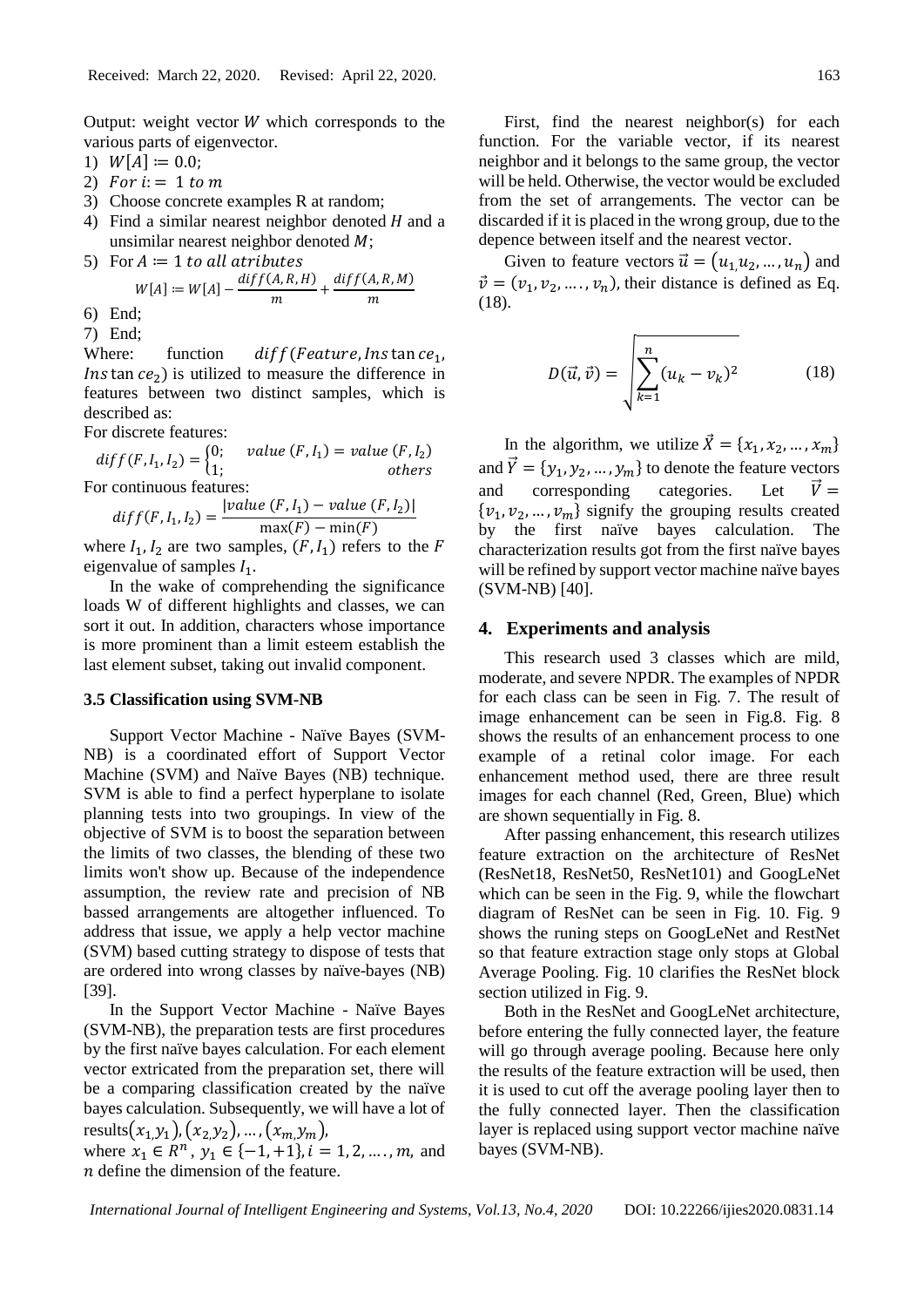Output: weight vector  $W$  which corresponds to the various parts of eigenvector.

- 1)  $W[A] := 0.0;$
- 2) For  $i = 1$  to m
- 3) Choose concrete examples R at random;
- 4) Find a similar nearest neighbor denoted  $H$  and a unsimilar nearest neighbor denoted  $M$ ;
- 5) For  $A := 1$  to all atributes

$$
W[A] := W[A] - \frac{diff(A, R, H)}{m} + \frac{diff(A, R, M)}{m}
$$

6) End;

7) End;

Where: function  $diff(Feature, Ins \tan ce_1,$ *Ins* tan  $ce<sub>2</sub>$ ) is utilized to measure the difference in features between two distinct samples, which is described as:

For discrete features:

 $diff(F, I_1, I_2) =\begin{cases} 0; & value(F, I_1) = value(F, I_2) \\ 1. & otherwise \end{cases}$ 1; but others For continuous features:

diff(F, I<sub>1</sub>, I<sub>2</sub>) = 
$$
\frac{|value (F, I_1) - value (F, I_2)|}{max(F) - min(F)}
$$

where  $I_1, I_2$  are two samples,  $(F, I_1)$  refers to the F eigenvalue of samples  $I_1$ .

In the wake of comprehending the significance loads W of different highlights and classes, we can sort it out. In addition, characters whose importance is more prominent than a limit esteem establish the last element subset, taking out invalid component.

#### **3.5 Classification using SVM-NB**

Support Vector Machine - Naïve Bayes (SVM-NB) is a coordinated effort of Support Vector Machine (SVM) and Naïve Bayes (NB) technique. SVM is able to find a perfect hyperplane to isolate planning tests into two groupings. In view of the objective of SVM is to boost the separation between the limits of two classes, the blending of these two limits won't show up. Because of the independence assumption, the review rate and precision of NB bassed arrangements are altogether influenced. To address that issue, we apply a help vector machine (SVM) based cutting strategy to dispose of tests that are ordered into wrong classes by naïve-bayes (NB) [39].

In the Support Vector Machine - Naïve Bayes (SVM-NB), the preparation tests are first procedures by the first naïve bayes calculation. For each element vector extricated from the preparation set, there will be a comparing classification created by the naïve bayes calculation. Subsequently, we will have a lot of results $(x_1,y_1), (x_2,y_2), ..., (x_m,y_m),$ where  $x_1 \in R^n$ ,  $y_1 \in \{-1, +1\}$ ,  $i = 1, 2, ..., m$ , and  $n$  define the dimension of the feature.

First, find the nearest neighbor(s) for each function. For the variable vector, if its nearest neighbor and it belongs to the same group, the vector will be held. Otherwise, the vector would be excluded from the set of arrangements. The vector can be discarded if it is placed in the wrong group, due to the depence between itself and the nearest vector.

Given to feature vectors  $\vec{u} = (u_1, u_2, ..., u_n)$  and  $\vec{v} = (v_1, v_2, \dots, v_n)$ , their distance is defined as Eq. (18).

$$
D(\vec{u}, \vec{v}) = \sqrt{\sum_{k=1}^{n} (u_k - v_k)^2}
$$
 (18)

In the algorithm, we utilize  $\vec{X} = \{x_1, x_2, ..., x_m\}$ and  $\vec{Y} = \{y_1, y_2, ..., y_m\}$  to denote the feature vectors and corresponding categories. Let  $\vec{V} =$  $\{v_1, v_2, ..., v_m\}$  signify the grouping results created by the first naïve bayes calculation. The characterization results got from the first naïve bayes will be refined by support vector machine naïve bayes (SVM-NB) [40].

## **4. Experiments and analysis**

This research used 3 classes which are mild, moderate, and severe NPDR. The examples of NPDR for each class can be seen in Fig. 7. The result of image enhancement can be seen in Fig.8. Fig. 8 shows the results of an enhancement process to one example of a retinal color image. For each enhancement method used, there are three result images for each channel (Red, Green, Blue) which are shown sequentially in Fig. 8.

After passing enhancement, this research utilizes feature extraction on the architecture of ResNet (ResNet18, ResNet50, ResNet101) and GoogLeNet which can be seen in the Fig. 9, while the flowchart diagram of ResNet can be seen in Fig. 10. Fig. 9 shows the runing steps on GoogLeNet and RestNet so that feature extraction stage only stops at Global Average Pooling. Fig. 10 clarifies the ResNet block section utilized in Fig. 9.

Both in the ResNet and GoogLeNet architecture, before entering the fully connected layer, the feature will go through average pooling. Because here only the results of the feature extraction will be used, then it is used to cut off the average pooling layer then to the fully connected layer. Then the classification layer is replaced using support vector machine naïve bayes (SVM-NB).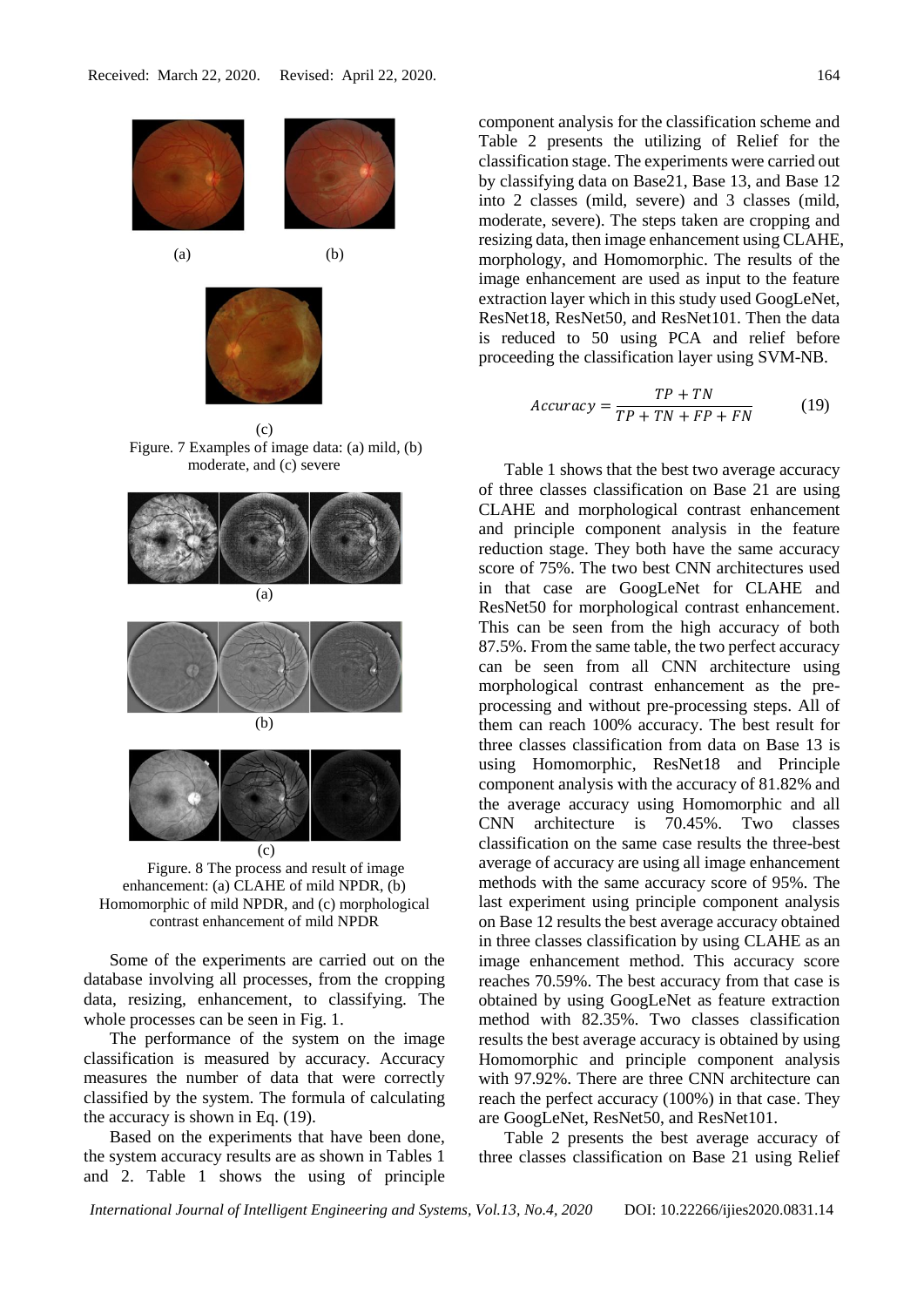

(c) Figure. 7 Examples of image data: (a) mild, (b) moderate, and (c) severe



Figure. 8 The process and result of image enhancement: (a) CLAHE of mild NPDR, (b) Homomorphic of mild NPDR, and (c) morphological contrast enhancement of mild NPDR

Some of the experiments are carried out on the database involving all processes, from the cropping data, resizing, enhancement, to classifying. The whole processes can be seen in Fig. 1.

The performance of the system on the image classification is measured by accuracy. Accuracy measures the number of data that were correctly classified by the system. The formula of calculating the accuracy is shown in Eq. (19).

Based on the experiments that have been done, the system accuracy results are as shown in Tables 1 and 2. Table 1 shows the using of principle component analysis for the classification scheme and Table 2 presents the utilizing of Relief for the classification stage. The experiments were carried out by classifying data on Base21, Base 13, and Base 12 into 2 classes (mild, severe) and 3 classes (mild, moderate, severe). The steps taken are cropping and resizing data, then image enhancement using CLAHE, morphology, and Homomorphic. The results of the image enhancement are used as input to the feature extraction layer which in this study used GoogLeNet, ResNet18, ResNet50, and ResNet101. Then the data is reduced to 50 using PCA and relief before proceeding the classification layer using SVM-NB.

$$
Accuracy = \frac{TP + TN}{TP + TN + FP + FN}
$$
 (19)

Table 1 shows that the best two average accuracy of three classes classification on Base 21 are using CLAHE and morphological contrast enhancement and principle component analysis in the feature reduction stage. They both have the same accuracy score of 75%. The two best CNN architectures used in that case are GoogLeNet for CLAHE and ResNet50 for morphological contrast enhancement. This can be seen from the high accuracy of both 87.5%. From the same table, the two perfect accuracy can be seen from all CNN architecture using morphological contrast enhancement as the preprocessing and without pre-processing steps. All of them can reach 100% accuracy. The best result for three classes classification from data on Base 13 is using Homomorphic, ResNet18 and Principle component analysis with the accuracy of 81.82% and the average accuracy using Homomorphic and all CNN architecture is 70.45%. Two classes classification on the same case results the three-best average of accuracy are using all image enhancement methods with the same accuracy score of 95%. The last experiment using principle component analysis on Base 12 results the best average accuracy obtained in three classes classification by using CLAHE as an image enhancement method. This accuracy score reaches 70.59%. The best accuracy from that case is obtained by using GoogLeNet as feature extraction method with 82.35%. Two classes classification results the best average accuracy is obtained by using Homomorphic and principle component analysis with 97.92%. There are three CNN architecture can reach the perfect accuracy (100%) in that case. They are GoogLeNet, ResNet50, and ResNet101.

Table 2 presents the best average accuracy of three classes classification on Base 21 using Relief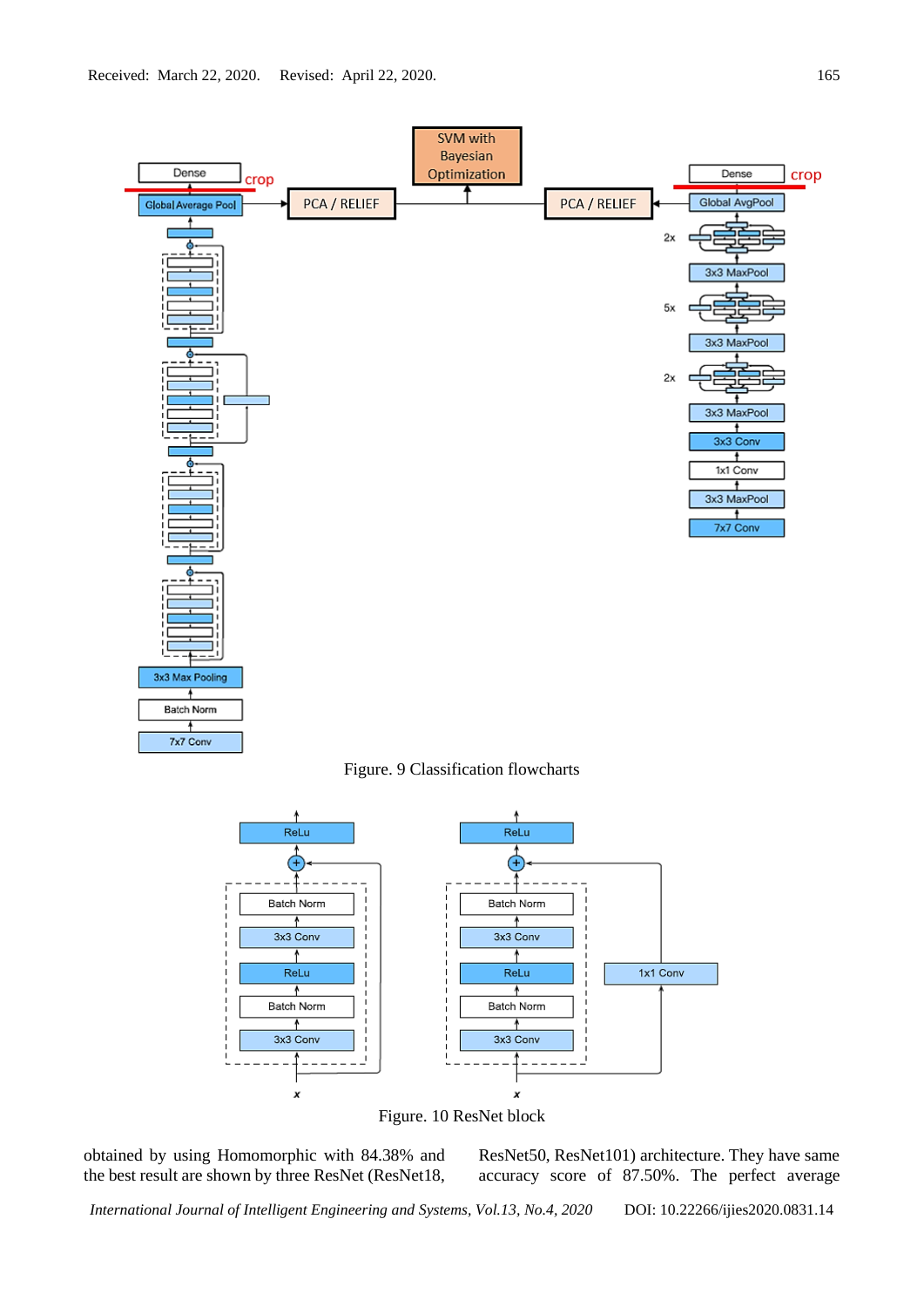

Figure. 9 Classification flowcharts



Figure. 10 ResNet block

obtained by using Homomorphic with 84.38% and the best result are shown by three ResNet (ResNet18, ResNet50, ResNet101) architecture. They have same accuracy score of 87.50%. The perfect average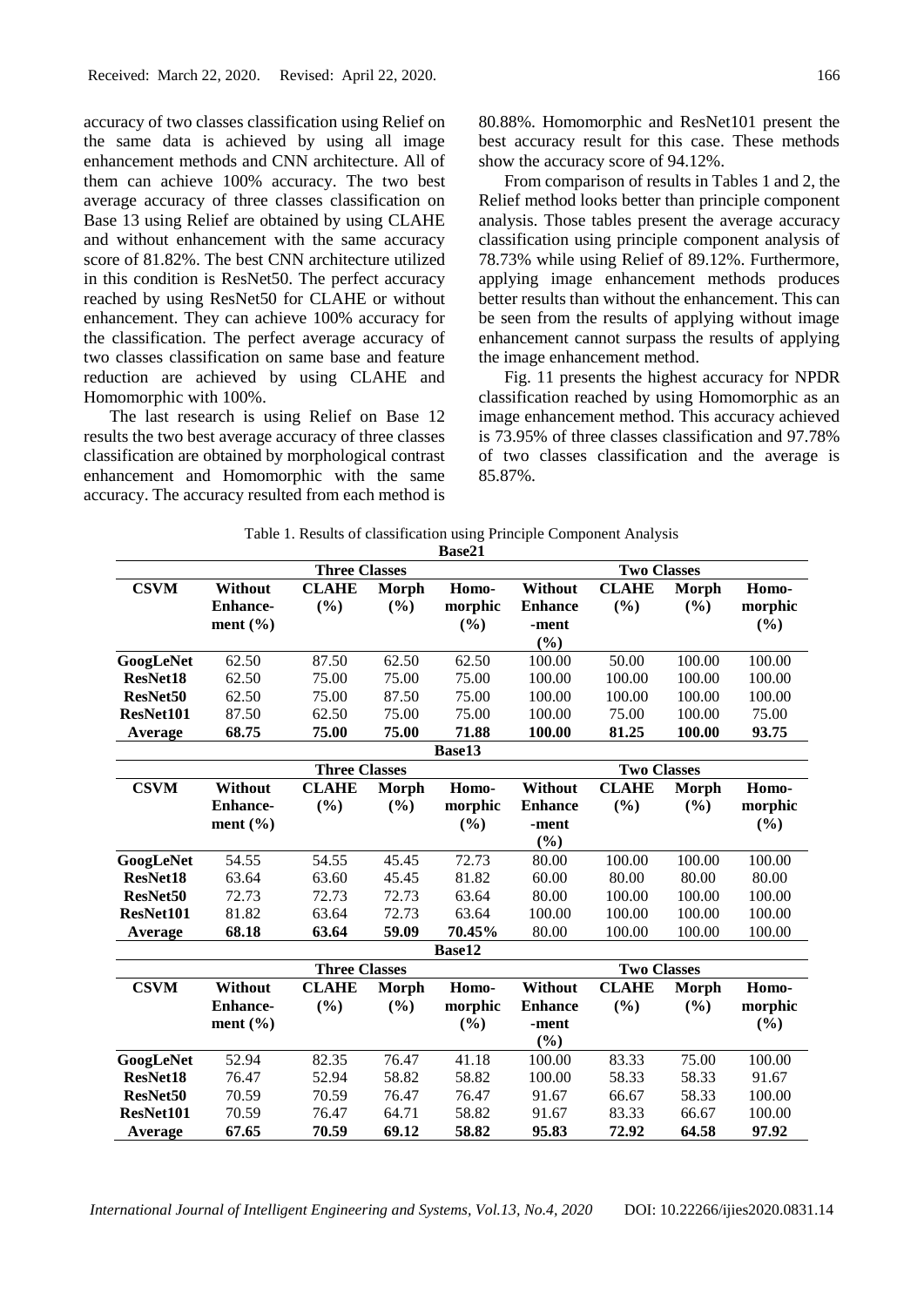accuracy of two classes classification using Relief on the same data is achieved by using all image enhancement methods and CNN architecture. All of them can achieve 100% accuracy. The two best average accuracy of three classes classification on Base 13 using Relief are obtained by using CLAHE and without enhancement with the same accuracy score of 81.82%. The best CNN architecture utilized in this condition is ResNet50. The perfect accuracy reached by using ResNet50 for CLAHE or without enhancement. They can achieve 100% accuracy for the classification. The perfect average accuracy of two classes classification on same base and feature reduction are achieved by using CLAHE and Homomorphic with 100%.

The last research is using Relief on Base 12 results the two best average accuracy of three classes classification are obtained by morphological contrast enhancement and Homomorphic with the same accuracy. The accuracy resulted from each method is 80.88%. Homomorphic and ResNet101 present the best accuracy result for this case. These methods show the accuracy score of 94.12%.

From comparison of results in Tables 1 and 2, the Relief method looks better than principle component analysis. Those tables present the average accuracy classification using principle component analysis of 78.73% while using Relief of 89.12%. Furthermore, applying image enhancement methods produces better results than without the enhancement. This can be seen from the results of applying without image enhancement cannot surpass the results of applying the image enhancement method.

Fig. 11 presents the highest accuracy for NPDR classification reached by using Homomorphic as an image enhancement method. This accuracy achieved is 73.95% of three classes classification and 97.78% of two classes classification and the average is 85.87%.

Table 1. Results of classification using Principle Component Analysis

|                      |                      |                      |       | Base21  |                    |              |        |         |  |
|----------------------|----------------------|----------------------|-------|---------|--------------------|--------------|--------|---------|--|
|                      | <b>Three Classes</b> |                      |       |         | <b>Two Classes</b> |              |        |         |  |
| <b>CSVM</b>          | <b>Without</b>       | <b>CLAHE</b>         | Morph | Homo-   | Without            | <b>CLAHE</b> | Morph  | Homo-   |  |
|                      | <b>Enhance-</b>      | (%)                  | (%)   | morphic | <b>Enhance</b>     | (%)          | (%)    | morphic |  |
|                      | ment $(\% )$         |                      |       | (%)     | -ment              |              |        | (%)     |  |
|                      |                      |                      |       |         | (%)                |              |        |         |  |
| GoogLeNet            | 62.50                | 87.50                | 62.50 | 62.50   | 100.00             | 50.00        | 100.00 | 100.00  |  |
| ResNet18             | 62.50                | 75.00                | 75.00 | 75.00   | 100.00             | 100.00       | 100.00 | 100.00  |  |
| ResNet <sub>50</sub> | 62.50                | 75.00                | 87.50 | 75.00   | 100.00             | 100.00       | 100.00 | 100.00  |  |
| ResNet101            | 87.50                | 62.50                | 75.00 | 75.00   | 100.00             | 75.00        | 100.00 | 75.00   |  |
| Average              | 68.75                | 75.00                | 75.00 | 71.88   | 100.00             | 81.25        | 100.00 | 93.75   |  |
|                      |                      |                      |       | Base13  |                    |              |        |         |  |
|                      | <b>Three Classes</b> |                      |       |         | <b>Two Classes</b> |              |        |         |  |
| <b>CSVM</b>          | Without              | <b>CLAHE</b>         | Morph | Homo-   | Without            | <b>CLAHE</b> | Morph  | Homo-   |  |
|                      | <b>Enhance-</b>      | (%)                  | (%)   | morphic | <b>Enhance</b>     | (%)          | (%)    | morphic |  |
|                      | ment $(\% )$         |                      |       | (%)     | -ment              |              |        | (%)     |  |
|                      |                      |                      |       |         | (%)                |              |        |         |  |
| GoogLeNet            | 54.55                | 54.55                | 45.45 | 72.73   | 80.00              | 100.00       | 100.00 | 100.00  |  |
| ResNet18             | 63.64                | 63.60                | 45.45 | 81.82   | 60.00              | 80.00        | 80.00  | 80.00   |  |
| ResNet <sub>50</sub> | 72.73                | 72.73                | 72.73 | 63.64   | 80.00              | 100.00       | 100.00 | 100.00  |  |
| ResNet101            | 81.82                | 63.64                | 72.73 | 63.64   | 100.00             | 100.00       | 100.00 | 100.00  |  |
| Average              | 68.18                | 63.64                | 59.09 | 70.45%  | 80.00              | 100.00       | 100.00 | 100.00  |  |
| Base12               |                      |                      |       |         |                    |              |        |         |  |
|                      |                      | <b>Three Classes</b> |       |         | <b>Two Classes</b> |              |        |         |  |
| <b>CSVM</b>          | Without              | <b>CLAHE</b>         | Morph | Homo-   | <b>Without</b>     | <b>CLAHE</b> | Morph  | Homo-   |  |
|                      | <b>Enhance-</b>      | (%)                  | (%)   | morphic | <b>Enhance</b>     | (%)          | (%)    | morphic |  |
|                      | ment $(\% )$         |                      |       | (%)     | -ment              |              |        | (%)     |  |
|                      |                      |                      |       |         | (%)                |              |        |         |  |
| GoogLeNet            | 52.94                | 82.35                | 76.47 | 41.18   | 100.00             | 83.33        | 75.00  | 100.00  |  |
| ResNet18             | 76.47                | 52.94                | 58.82 | 58.82   | 100.00             | 58.33        | 58.33  | 91.67   |  |
| ResNet <sub>50</sub> | 70.59                | 70.59                | 76.47 | 76.47   | 91.67              | 66.67        | 58.33  | 100.00  |  |
| ResNet101            | 70.59                | 76.47                | 64.71 | 58.82   | 91.67              | 83.33        | 66.67  | 100.00  |  |
| Average              | 67.65                | 70.59                | 69.12 | 58.82   | 95.83              | 72.92        | 64.58  | 97.92   |  |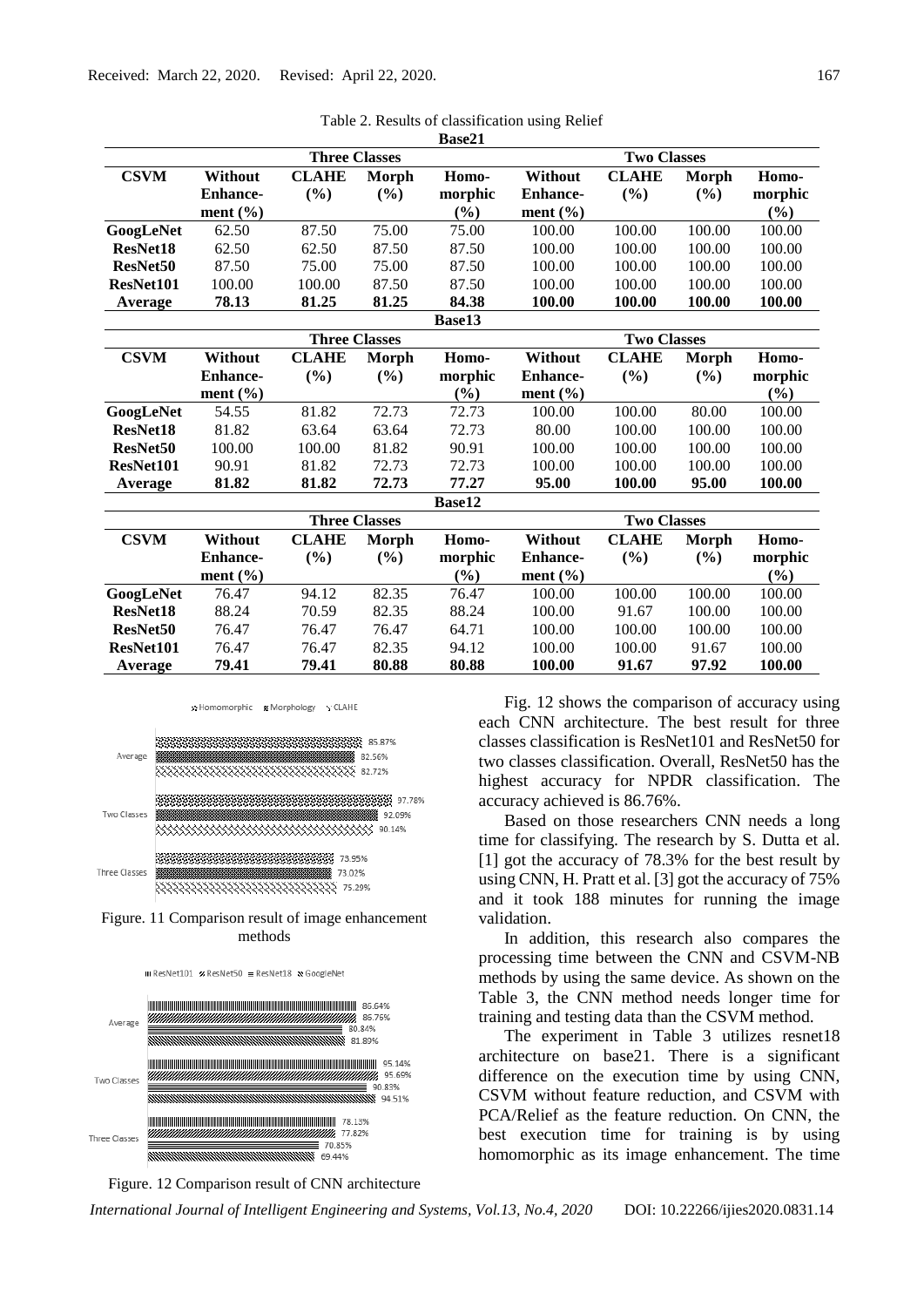|                      |                      |                      |              | Da9C41             |                    |              |        |         |  |
|----------------------|----------------------|----------------------|--------------|--------------------|--------------------|--------------|--------|---------|--|
|                      | <b>Three Classes</b> |                      |              |                    | <b>Two Classes</b> |              |        |         |  |
| <b>CSVM</b>          | Without              | <b>CLAHE</b>         | Morph        | Homo-              | Without            | <b>CLAHE</b> | Morph  | Homo-   |  |
|                      | <b>Enhance-</b>      | (%)                  | (%)          | morphic            | <b>Enhance-</b>    | (%)          | (%)    | morphic |  |
|                      | ment $(\% )$         |                      |              | (%)                | ment $(\% )$       |              |        | (%)     |  |
| GoogLeNet            | 62.50                | 87.50                | 75.00        | 75.00              | 100.00             | 100.00       | 100.00 | 100.00  |  |
| ResNet18             | 62.50                | 62.50                | 87.50        | 87.50              | 100.00             | 100.00       | 100.00 | 100.00  |  |
| ResNet <sub>50</sub> | 87.50                | 75.00                | 75.00        | 87.50              | 100.00             | 100.00       | 100.00 | 100.00  |  |
| ResNet101            | 100.00               | 100.00               | 87.50        | 87.50              | 100.00             | 100.00       | 100.00 | 100.00  |  |
| Average              | 78.13                | 81.25                | 81.25        | 84.38              | 100.00             | 100.00       | 100.00 | 100.00  |  |
|                      |                      |                      |              | Base13             |                    |              |        |         |  |
|                      | <b>Three Classes</b> |                      |              | <b>Two Classes</b> |                    |              |        |         |  |
| <b>CSVM</b>          | Without              | <b>CLAHE</b>         | Morph        | Homo-              | Without            | <b>CLAHE</b> | Morph  | Homo-   |  |
|                      | <b>Enhance-</b>      | (%)                  | (%)          | morphic            | <b>Enhance-</b>    | (%)          | $(\%)$ | morphic |  |
|                      | ment $(\% )$         |                      |              | (%)                | ment $(\% )$       |              |        | (%)     |  |
| GoogLeNet            | 54.55                | 81.82                | 72.73        | 72.73              | 100.00             | 100.00       | 80.00  | 100.00  |  |
| ResNet18             | 81.82                | 63.64                | 63.64        | 72.73              | 80.00              | 100.00       | 100.00 | 100.00  |  |
| ResNet50             | 100.00               | 100.00               | 81.82        | 90.91              | 100.00             | 100.00       | 100.00 | 100.00  |  |
| ResNet101            | 90.91                | 81.82                | 72.73        | 72.73              | 100.00             | 100.00       | 100.00 | 100.00  |  |
| Average              | 81.82                | 81.82                | 72.73        | 77.27              | 95.00              | 100.00       | 95.00  | 100.00  |  |
|                      |                      |                      |              | Base12             |                    |              |        |         |  |
|                      |                      | <b>Three Classes</b> |              |                    | <b>Two Classes</b> |              |        |         |  |
| <b>CSVM</b>          | Without              | <b>CLAHE</b>         | <b>Morph</b> | Homo-              | Without            | <b>CLAHE</b> | Morph  | Homo-   |  |
|                      | <b>Enhance-</b>      | (%)                  | (%)          | morphic            | <b>Enhance-</b>    | (%)          | $(\%)$ | morphic |  |
|                      | ment $(\% )$         |                      |              | (%)                | ment $(\% )$       |              |        | (%)     |  |
| GoogLeNet            | 76.47                | 94.12                | 82.35        | 76.47              | 100.00             | 100.00       | 100.00 | 100.00  |  |
| ResNet18             | 88.24                | 70.59                | 82.35        | 88.24              | 100.00             | 91.67        | 100.00 | 100.00  |  |
| ResNet <sub>50</sub> | 76.47                | 76.47                | 76.47        | 64.71              | 100.00             | 100.00       | 100.00 | 100.00  |  |
| ResNet101            | 76.47                | 76.47                | 82.35        | 94.12              | 100.00             | 100.00       | 91.67  | 100.00  |  |
| Average              | 79.41                | 79.41                | 80.88        | 80.88              | 100.00             | 91.67        | 97.92  | 100.00  |  |

|               | Table 2. Results of classification using Relief |
|---------------|-------------------------------------------------|
| <b>Base21</b> |                                                 |











Fig. 12 shows the comparison of accuracy using each CNN architecture. The best result for three classes classification is ResNet101 and ResNet50 for two classes classification. Overall, ResNet50 has the highest accuracy for NPDR classification. The accuracy achieved is 86.76%.

Based on those researchers CNN needs a long time for classifying. The research by S. Dutta et al. [1] got the accuracy of 78.3% for the best result by using CNN, H. Pratt et al. [3] got the accuracy of 75% and it took 188 minutes for running the image validation.

In addition, this research also compares the processing time between the CNN and CSVM-NB methods by using the same device. As shown on the Table 3, the CNN method needs longer time for training and testing data than the CSVM method.

The experiment in Table 3 utilizes resnet18 architecture on base21. There is a significant difference on the execution time by using CNN, CSVM without feature reduction, and CSVM with PCA/Relief as the feature reduction. On CNN, the best execution time for training is by using homomorphic as its image enhancement. The time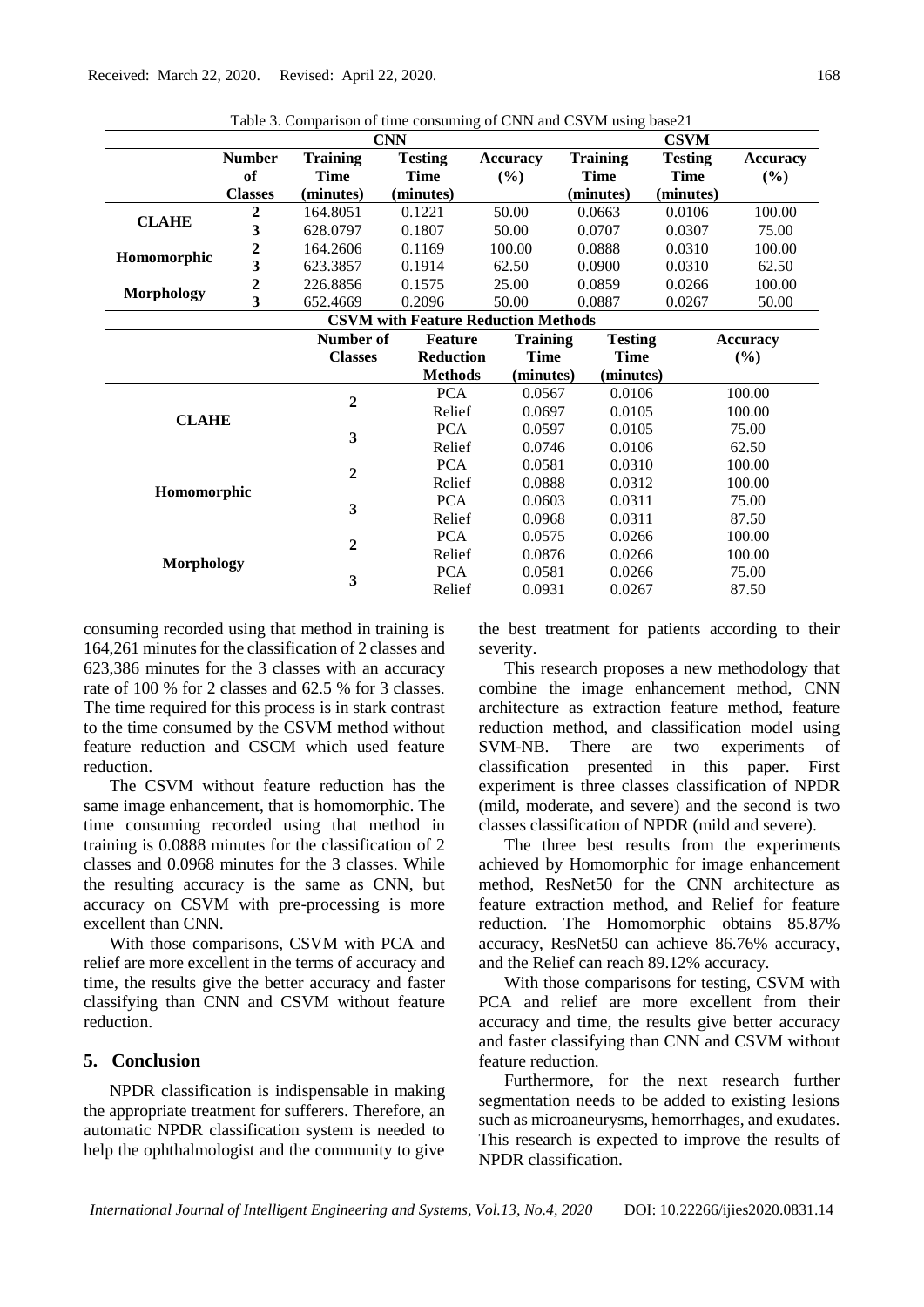| Twore 3. Comparison of three consuming of Central and CD The asing base of<br><b>CNN</b><br><b>CSVM</b> |                         |                             |                  |                  |                 |                 |                 |  |
|---------------------------------------------------------------------------------------------------------|-------------------------|-----------------------------|------------------|------------------|-----------------|-----------------|-----------------|--|
|                                                                                                         | <b>Number</b>           | <b>Training</b>             | <b>Testing</b>   | <b>Accuracy</b>  | <b>Training</b> | <b>Testing</b>  | <b>Accuracy</b> |  |
|                                                                                                         | of                      | <b>Time</b>                 | <b>Time</b>      | (%)              | Time            | Time            | (%)             |  |
|                                                                                                         | <b>Classes</b>          | (minutes)                   | (minutes)        |                  | (minutes)       | (minutes)       |                 |  |
| <b>CLAHE</b>                                                                                            | 2                       | 164.8051                    | 0.1221           | 50.00            | 0.0663          | 0.0106          | 100.00          |  |
|                                                                                                         | $\overline{\mathbf{3}}$ | 628.0797                    | 0.1807           | 50.00            | 0.0707          | 0.0307          | 75.00           |  |
| Homomorphic                                                                                             | $\overline{\mathbf{c}}$ | 164.2606                    | 0.1169           | 100.00           | 0.0888          | 0.0310          | 100.00          |  |
|                                                                                                         | $\overline{\mathbf{3}}$ | 623.3857                    | 0.1914           | 62.50            | 0.0900          | 0.0310          | 62.50           |  |
|                                                                                                         | $\overline{2}$          | 226.8856                    | 0.1575           | 25.00            | 0.0859          | 0.0266          | 100.00          |  |
| <b>Morphology</b>                                                                                       | 3                       | 652.4669                    | 0.2096           | 50.00            | 0.0887          | 0.0267          | 50.00           |  |
| <b>CSVM with Feature Reduction Methods</b>                                                              |                         |                             |                  |                  |                 |                 |                 |  |
|                                                                                                         |                         | Number of<br><b>Feature</b> |                  | <b>Training</b>  | <b>Testing</b>  | <b>Accuracy</b> |                 |  |
|                                                                                                         |                         | <b>Classes</b>              | <b>Reduction</b> | <b>Time</b>      | <b>Time</b>     |                 | (%)             |  |
|                                                                                                         |                         |                             | <b>Methods</b>   | (minutes)        | (minutes)       |                 |                 |  |
|                                                                                                         |                         |                             | <b>PCA</b>       | 0.0567           | 0.0106          |                 | 100.00          |  |
|                                                                                                         |                         | 2                           | Relief           | 0.0697           | 0.0105          |                 | 100.00          |  |
| <b>CLAHE</b>                                                                                            |                         | 3                           | <b>PCA</b>       | 0.0597           | 0.0105          |                 | 75.00           |  |
|                                                                                                         |                         |                             | Relief           | 0.0746           | 0.0106          |                 | 62.50           |  |
| Homomorphic                                                                                             |                         | 2                           | <b>PCA</b>       | 0.0581           | 0.0310          |                 | 100.00          |  |
|                                                                                                         |                         |                             | Relief           | 0.0888<br>0.0312 |                 |                 | 100.00          |  |
|                                                                                                         |                         | 3                           | <b>PCA</b>       | 0.0603           | 0.0311          |                 | 75.00           |  |
|                                                                                                         |                         |                             | Relief           | 0.0968           | 0.0311          |                 | 87.50           |  |
| <b>Morphology</b>                                                                                       |                         | $\mathbf 2$                 | <b>PCA</b>       | 0.0575           | 0.0266          |                 | 100.00          |  |
|                                                                                                         |                         |                             | Relief           | 0.0876           | 0.0266          |                 | 100.00          |  |
|                                                                                                         |                         | 3                           | <b>PCA</b>       | 0.0581           | 0.0266          |                 | 75.00           |  |
|                                                                                                         |                         |                             | Relief           | 0.0931           | 0.0267          |                 | 87.50           |  |

Table 3. Comparison of time consuming of CNN and CSVM using base21

consuming recorded using that method in training is 164,261 minutes for the classification of 2 classes and 623,386 minutes for the 3 classes with an accuracy rate of 100 % for 2 classes and 62.5 % for 3 classes. The time required for this process is in stark contrast to the time consumed by the CSVM method without feature reduction and CSCM which used feature reduction.

The CSVM without feature reduction has the same image enhancement, that is homomorphic. The time consuming recorded using that method in training is 0.0888 minutes for the classification of 2 classes and 0.0968 minutes for the 3 classes. While the resulting accuracy is the same as CNN, but accuracy on CSVM with pre-processing is more excellent than CNN.

With those comparisons, CSVM with PCA and relief are more excellent in the terms of accuracy and time, the results give the better accuracy and faster classifying than CNN and CSVM without feature reduction.

# **5. Conclusion**

NPDR classification is indispensable in making the appropriate treatment for sufferers. Therefore, an automatic NPDR classification system is needed to help the ophthalmologist and the community to give the best treatment for patients according to their severity.

This research proposes a new methodology that combine the image enhancement method, CNN architecture as extraction feature method, feature reduction method, and classification model using SVM-NB. There are two experiments of classification presented in this paper. First experiment is three classes classification of NPDR (mild, moderate, and severe) and the second is two classes classification of NPDR (mild and severe).

The three best results from the experiments achieved by Homomorphic for image enhancement method, ResNet50 for the CNN architecture as feature extraction method, and Relief for feature reduction. The Homomorphic obtains 85.87% accuracy, ResNet50 can achieve 86.76% accuracy, and the Relief can reach 89.12% accuracy.

With those comparisons for testing, CSVM with PCA and relief are more excellent from their accuracy and time, the results give better accuracy and faster classifying than CNN and CSVM without feature reduction.

Furthermore, for the next research further segmentation needs to be added to existing lesions such as microaneurysms, hemorrhages, and exudates. This research is expected to improve the results of NPDR classification.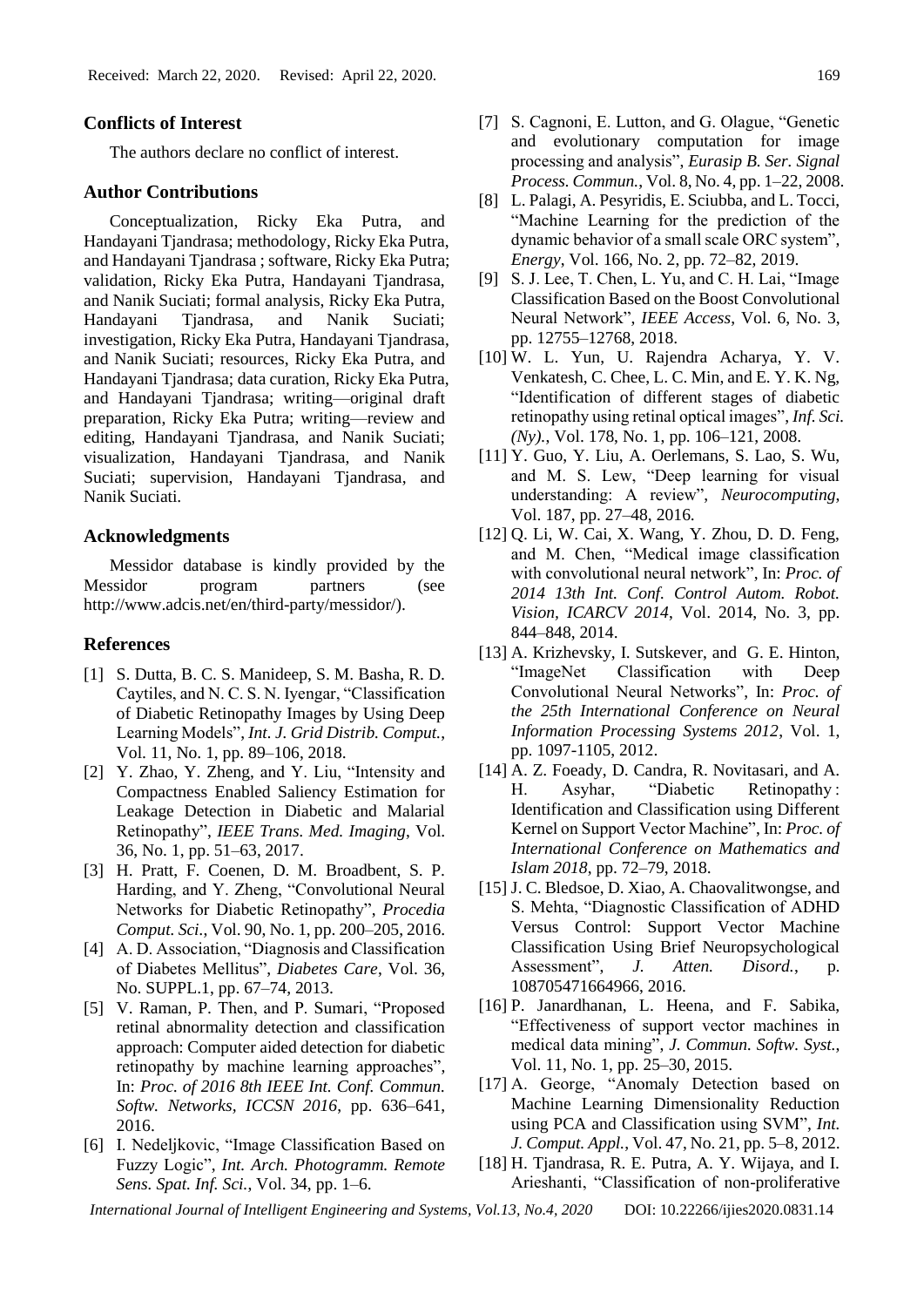## **Conflicts of Interest**

The authors declare no conflict of interest.

#### **Author Contributions**

Conceptualization, Ricky Eka Putra, and Handayani Tjandrasa; methodology, Ricky Eka Putra, and Handayani Tjandrasa ; software, Ricky Eka Putra; validation, Ricky Eka Putra, Handayani Tjandrasa, and Nanik Suciati; formal analysis, Ricky Eka Putra, Handayani Tjandrasa, and Nanik Suciati; investigation, Ricky Eka Putra, Handayani Tjandrasa, and Nanik Suciati; resources, Ricky Eka Putra, and Handayani Tjandrasa; data curation, Ricky Eka Putra, and Handayani Tjandrasa; writing—original draft preparation, Ricky Eka Putra; writing—review and editing, Handayani Tjandrasa, and Nanik Suciati; visualization, Handayani Tjandrasa, and Nanik Suciati; supervision, Handayani Tjandrasa, and Nanik Suciati.

## **Acknowledgments**

Messidor database is kindly provided by the Messidor program partners (see http://www.adcis.net/en/third-party/messidor/).

## **References**

- [1] S. Dutta, B. C. S. Manideep, S. M. Basha, R. D. Caytiles, and N. C. S. N. Iyengar, "Classification of Diabetic Retinopathy Images by Using Deep Learning Models", *Int. J. Grid Distrib. Comput.*, Vol. 11, No. 1, pp. 89–106, 2018.
- [2] Y. Zhao, Y. Zheng, and Y. Liu, "Intensity and Compactness Enabled Saliency Estimation for Leakage Detection in Diabetic and Malarial Retinopathy", *IEEE Trans. Med. Imaging*, Vol. 36, No. 1, pp. 51–63, 2017.
- [3] H. Pratt, F. Coenen, D. M. Broadbent, S. P. Harding, and Y. Zheng, "Convolutional Neural Networks for Diabetic Retinopathy", *Procedia Comput. Sci.*, Vol. 90, No. 1, pp. 200–205, 2016.
- [4] A. D. Association, "Diagnosis and Classification of Diabetes Mellitus", *Diabetes Care*, Vol. 36, No. SUPPL.1, pp. 67–74, 2013.
- [5] V. Raman, P. Then, and P. Sumari, "Proposed retinal abnormality detection and classification approach: Computer aided detection for diabetic retinopathy by machine learning approaches", In: *Proc. of 2016 8th IEEE Int. Conf. Commun. Softw. Networks, ICCSN 2016*, pp. 636–641, 2016.
- [6] I. Nedeljkovic, "Image Classification Based on Fuzzy Logic", *Int. Arch. Photogramm. Remote Sens. Spat. Inf. Sci.*, Vol. 34, pp. 1–6.
- [7] S. Cagnoni, E. Lutton, and G. Olague, "Genetic and evolutionary computation for image processing and analysis", *Eurasip B. Ser. Signal Process. Commun.*, Vol. 8, No. 4, pp. 1–22, 2008.
- [8] L. Palagi, A. Pesyridis, E. Sciubba, and L. Tocci, "Machine Learning for the prediction of the dynamic behavior of a small scale ORC system", *Energy*, Vol. 166, No. 2, pp. 72–82, 2019.
- [9] S. J. Lee, T. Chen, L. Yu, and C. H. Lai, "Image Classification Based on the Boost Convolutional Neural Network", *IEEE Access*, Vol. 6, No. 3, pp. 12755–12768, 2018.
- [10] W. L. Yun, U. Rajendra Acharya, Y. V. Venkatesh, C. Chee, L. C. Min, and E. Y. K. Ng, "Identification of different stages of diabetic retinopathy using retinal optical images", *Inf. Sci. (Ny).*, Vol. 178, No. 1, pp. 106–121, 2008.
- [11] Y. Guo, Y. Liu, A. Oerlemans, S. Lao, S. Wu, and M. S. Lew, "Deep learning for visual understanding: A review", *Neurocomputing*, Vol. 187, pp. 27–48, 2016.
- [12] Q. Li, W. Cai, X. Wang, Y. Zhou, D. D. Feng, and M. Chen, "Medical image classification with convolutional neural network", In: *Proc. of 2014 13th Int. Conf. Control Autom. Robot. Vision, ICARCV 2014*, Vol. 2014, No. 3, pp. 844–848, 2014.
- [13] A. Krizhevsky, I. Sutskever, and G. E. Hinton, "ImageNet Classification with Deep Convolutional Neural Networks", In: *Proc. of the 25th International Conference on Neural Information Processing Systems 2012*, Vol. 1, pp. 1097-1105, 2012.
- [14] A. Z. Foeady, D. Candra, R. Novitasari, and A. H. Asyhar, "Diabetic Retinopathy : Identification and Classification using Different Kernel on Support Vector Machine", In: *Proc. of International Conference on Mathematics and Islam 2018*, pp. 72–79, 2018.
- [15] J. C. Bledsoe, D. Xiao, A. Chaovalitwongse, and S. Mehta, "Diagnostic Classification of ADHD Versus Control: Support Vector Machine Classification Using Brief Neuropsychological Assessment", *J. Atten. Disord.*, p. 108705471664966, 2016.
- [16] P. Janardhanan, L. Heena, and F. Sabika, "Effectiveness of support vector machines in medical data mining", *J. Commun. Softw. Syst.*, Vol. 11, No. 1, pp. 25–30, 2015.
- [17] A. George, "Anomaly Detection based on Machine Learning Dimensionality Reduction using PCA and Classification using SVM", *Int. J. Comput. Appl.*, Vol. 47, No. 21, pp. 5–8, 2012.
- [18] H. Tjandrasa, R. E. Putra, A. Y. Wijaya, and I. Arieshanti, "Classification of non-proliferative